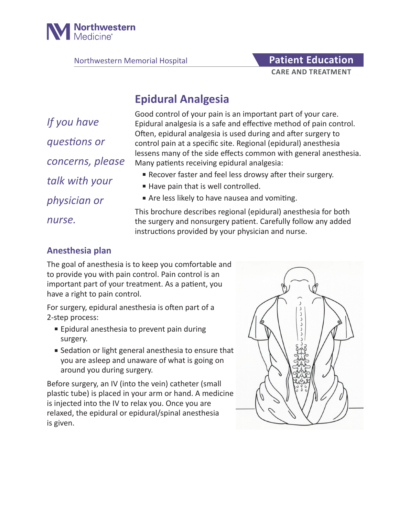

Northwestern Memorial Hospital **Patient Education** 

# **CARE AND TREATMENT**

# **Epidural Analgesia**

*If you have questions or concerns, please talk with your physician or nurse.*

Good control of your pain is an important part of your care. Epidural analgesia is a safe and effective method of pain control. Often, epidural analgesia is used during and after surgery to control pain at a specific site. Regional (epidural) anesthesia lessens many of the side effects common with general anesthesia. Many patients receiving epidural analgesia:

- Recover faster and feel less drowsy after their surgery.
- Have pain that is well controlled.
- Are less likely to have nausea and vomiting.

This brochure describes regional (epidural) anesthesia for both the surgery and nonsurgery patient. Carefully follow any added instructions provided by your physician and nurse.

## **Anesthesia plan**

The goal of anesthesia is to keep you comfortable and to provide you with pain control. Pain control is an important part of your treatment. As a patient, you have a right to pain control.

For surgery, epidural anesthesia is often part of a 2-step process:

- Epidural anesthesia to prevent pain during surgery.
- Sedation or light general anesthesia to ensure that you are asleep and unaware of what is going on around you during surgery.

Before surgery, an IV (into the vein) catheter (small plastic tube) is placed in your arm or hand. A medicine is injected into the IV to relax you. Once you are relaxed, the epidural or epidural/spinal anesthesia is given.

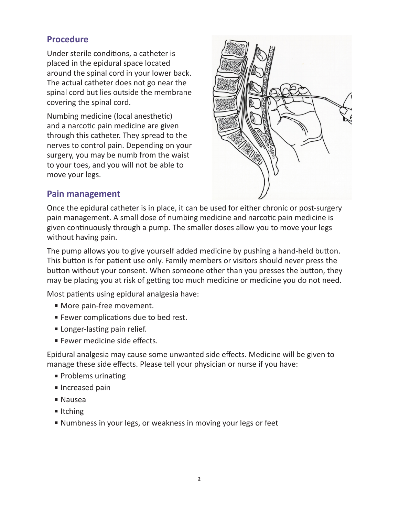### **Procedure**

Under sterile conditions, a catheter is placed in the epidural space located around the spinal cord in your lower back. The actual catheter does not go near the spinal cord but lies outside the membrane covering the spinal cord.

Numbing medicine (local anesthetic) and a narcotic pain medicine are given through this catheter. They spread to the nerves to control pain. Depending on your surgery, you may be numb from the waist to your toes, and you will not be able to move your legs.



#### **Pain management**

Once the epidural catheter is in place, it can be used for either chronic or post-surgery pain management. A small dose of numbing medicine and narcotic pain medicine is given continuously through a pump. The smaller doses allow you to move your legs without having pain.

The pump allows you to give yourself added medicine by pushing a hand-held button. This button is for patient use only. Family members or visitors should never press the button without your consent. When someone other than you presses the button, they may be placing you at risk of getting too much medicine or medicine you do not need.

Most patients using epidural analgesia have:

- More pain-free movement.
- Fewer complications due to bed rest.
- Longer-lasting pain relief.
- Fewer medicine side effects.

Epidural analgesia may cause some unwanted side effects. Medicine will be given to manage these side effects. Please tell your physician or nurse if you have:

- Problems urinating
- Increased pain
- Nausea
- Itching
- Numbness in your legs, or weakness in moving your legs or feet